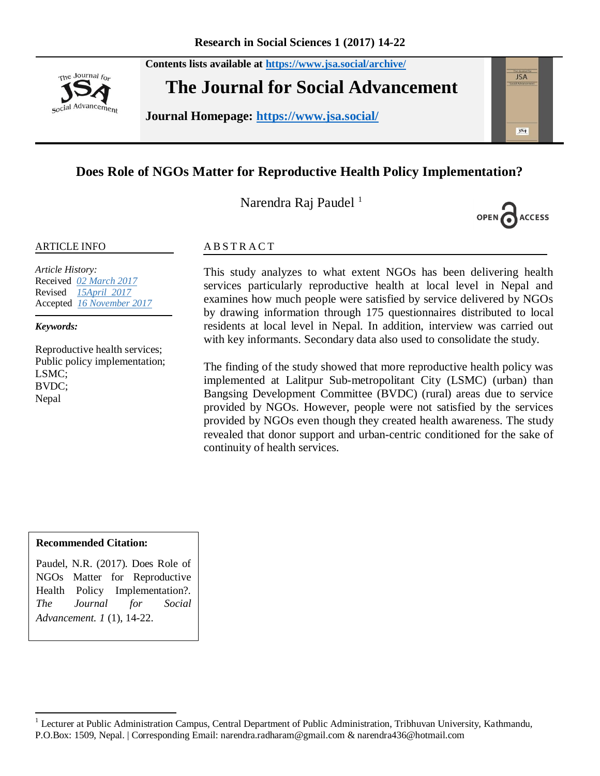**Contents lists available at <https://www.jsa.social/archive/>**



**The Journal for Social Advancement** 

**Journal Homepage: <https://www.jsa.social/>**

# **Does Role of NGOs Matter for Reproductive Health Policy Implementation?**

Narendra Raj Paudel<sup>1</sup>



**JSA** 

 $354$ 

#### ARTICLE INFO

*Article History:*  Received *02 March 2017* Revised *15April 2017* Accepted *16 November 2017*

*Keywords:* 

Reproductive health services; Public policy implementation; LSMC; BVDC; Nepal

#### **ABSTRACT**

This study analyzes to what extent NGOs has been delivering health services particularly reproductive health at local level in Nepal and examines how much people were satisfied by service delivered by NGOs by drawing information through 175 questionnaires distributed to local residents at local level in Nepal. In addition, interview was carried out with key informants. Secondary data also used to consolidate the study.

The finding of the study showed that more reproductive health policy was implemented at Lalitpur Sub-metropolitant City (LSMC) (urban) than Bangsing Development Committee (BVDC) (rural) areas due to service provided by NGOs. However, people were not satisfied by the services provided by NGOs even though they created health awareness. The study revealed that donor support and urban-centric conditioned for the sake of continuity of health services.

#### **Recommended Citation:**

 $\overline{a}$ 

Paudel, N.R. (2017). Does Role of NGOs Matter for Reproductive Health Policy Implementation?. *The Journal for Social Advancement. 1* (1), 14-22.

<sup>&</sup>lt;sup>1</sup> Lecturer at Public Administration Campus, Central Department of Public Administration, Tribhuvan University, Kathmandu, P.O.Box: 1509, Nepal. | Corresponding Email: narendra.radharam@gmail.com & narendra436@hotmail.com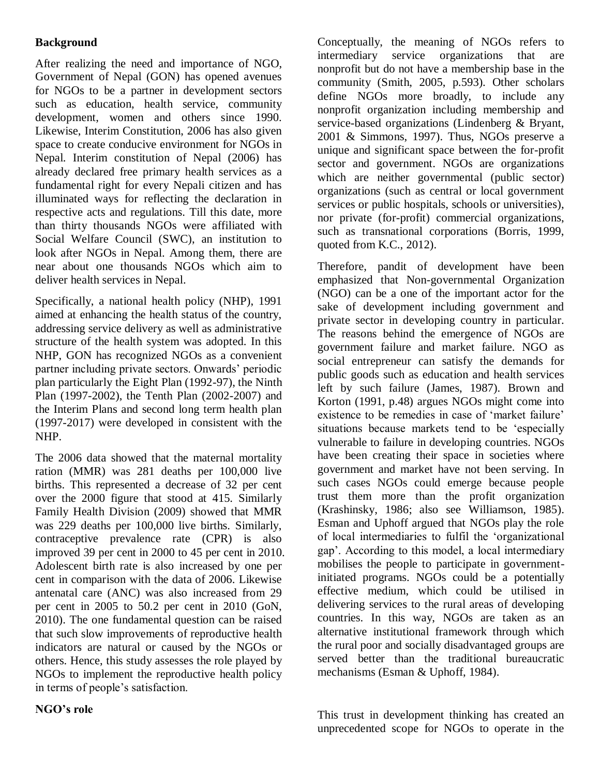# **Background**

After realizing the need and importance of NGO, Government of Nepal (GON) has opened avenues for NGOs to be a partner in development sectors such as education, health service, community development, women and others since 1990. Likewise, Interim Constitution, 2006 has also given space to create conducive environment for NGOs in Nepal. Interim constitution of Nepal (2006) has already declared free primary health services as a fundamental right for every Nepali citizen and has illuminated ways for reflecting the declaration in respective acts and regulations. Till this date, more than thirty thousands NGOs were affiliated with Social Welfare Council (SWC), an institution to look after NGOs in Nepal. Among them, there are near about one thousands NGOs which aim to deliver health services in Nepal.

Specifically, a national health policy (NHP), 1991 aimed at enhancing the health status of the country, addressing service delivery as well as administrative structure of the health system was adopted. In this NHP, GON has recognized NGOs as a convenient partner including private sectors. Onwards" periodic plan particularly the Eight Plan (1992-97), the Ninth Plan (1997-2002), the Tenth Plan (2002-2007) and the Interim Plans and second long term health plan (1997-2017) were developed in consistent with the NHP.

The 2006 data showed that the maternal mortality ration (MMR) was 281 deaths per 100,000 live births. This represented a decrease of 32 per cent over the 2000 figure that stood at 415. Similarly Family Health Division (2009) showed that MMR was 229 deaths per 100,000 live births. Similarly, contraceptive prevalence rate (CPR) is also improved 39 per cent in 2000 to 45 per cent in 2010. Adolescent birth rate is also increased by one per cent in comparison with the data of 2006. Likewise antenatal care (ANC) was also increased from 29 per cent in 2005 to 50.2 per cent in 2010 (GoN, 2010). The one fundamental question can be raised that such slow improvements of reproductive health indicators are natural or caused by the NGOs or others. Hence, this study assesses the role played by NGOs to implement the reproductive health policy in terms of people"s satisfaction.

Conceptually, the meaning of NGOs refers to intermediary service organizations that are nonprofit but do not have a membership base in the community (Smith, 2005, p.593). Other scholars define NGOs more broadly, to include any nonprofit organization including membership and service-based organizations (Lindenberg & Bryant, 2001 & Simmons, 1997). Thus, NGOs preserve a unique and significant space between the for-profit sector and government. NGOs are organizations which are neither governmental (public sector) organizations (such as central or local government services or public hospitals, schools or universities), nor private (for-profit) commercial organizations, such as transnational corporations (Borris, 1999, quoted from K.C., 2012).

Therefore, pandit of development have been emphasized that Non-governmental Organization (NGO) can be a one of the important actor for the sake of development including government and private sector in developing country in particular. The reasons behind the emergence of NGOs are government failure and market failure. NGO as social entrepreneur can satisfy the demands for public goods such as education and health services left by such failure (James, 1987). Brown and Korton (1991, p.48) argues NGOs might come into existence to be remedies in case of 'market failure' situations because markets tend to be "especially vulnerable to failure in developing countries. NGOs have been creating their space in societies where government and market have not been serving. In such cases NGOs could emerge because people trust them more than the profit organization (Krashinsky, 1986; also see Williamson, 1985). Esman and Uphoff argued that NGOs play the role of local intermediaries to fulfil the "organizational gap". According to this model, a local intermediary mobilises the people to participate in governmentinitiated programs. NGOs could be a potentially effective medium, which could be utilised in delivering services to the rural areas of developing countries. In this way, NGOs are taken as an alternative institutional framework through which the rural poor and socially disadvantaged groups are served better than the traditional bureaucratic mechanisms (Esman & Uphoff, 1984).

This trust in development thinking has created an unprecedented scope for NGOs to operate in the

### **NGO's role**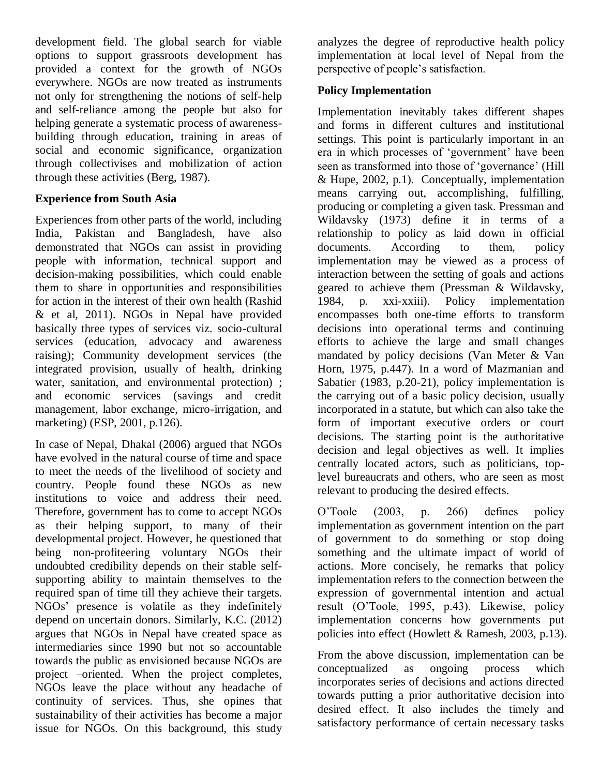development field. The global search for viable options to support grassroots development has provided a context for the growth of NGOs everywhere. NGOs are now treated as instruments not only for strengthening the notions of self-help and self-reliance among the people but also for helping generate a systematic process of awarenessbuilding through education, training in areas of social and economic significance, organization through collectivises and mobilization of action through these activities (Berg, 1987).

## **Experience from South Asia**

Experiences from other parts of the world, including India, Pakistan and Bangladesh, have also demonstrated that NGOs can assist in providing people with information, technical support and decision-making possibilities, which could enable them to share in opportunities and responsibilities for action in the interest of their own health (Rashid & et al, 2011). NGOs in Nepal have provided basically three types of services viz. socio-cultural services (education, advocacy and awareness raising); Community development services (the integrated provision, usually of health, drinking water, sanitation, and environmental protection) ; and economic services (savings and credit management, labor exchange, micro-irrigation, and marketing) (ESP, 2001, p.126).

In case of Nepal, Dhakal (2006) argued that NGOs have evolved in the natural course of time and space to meet the needs of the livelihood of society and country. People found these NGOs as new institutions to voice and address their need. Therefore, government has to come to accept NGOs as their helping support, to many of their developmental project. However, he questioned that being non-profiteering voluntary NGOs their undoubted credibility depends on their stable selfsupporting ability to maintain themselves to the required span of time till they achieve their targets. NGOs" presence is volatile as they indefinitely depend on uncertain donors. Similarly, K.C. (2012) argues that NGOs in Nepal have created space as intermediaries since 1990 but not so accountable towards the public as envisioned because NGOs are project –oriented. When the project completes, NGOs leave the place without any headache of continuity of services. Thus, she opines that sustainability of their activities has become a major issue for NGOs. On this background, this study

analyzes the degree of reproductive health policy implementation at local level of Nepal from the perspective of people"s satisfaction.

# **Policy Implementation**

Implementation inevitably takes different shapes and forms in different cultures and institutional settings. This point is particularly important in an era in which processes of "government" have been seen as transformed into those of 'governance' (Hill & Hupe, 2002, p.1). Conceptually, implementation means carrying out, accomplishing, fulfilling, producing or completing a given task. Pressman and Wildavsky (1973) define it in terms of a relationship to policy as laid down in official documents. According to them, policy implementation may be viewed as a process of interaction between the setting of goals and actions geared to achieve them (Pressman & Wildavsky, 1984, p. xxi-xxiii). Policy implementation encompasses both one-time efforts to transform decisions into operational terms and continuing efforts to achieve the large and small changes mandated by policy decisions (Van Meter & Van Horn, 1975, p.447). In a word of Mazmanian and Sabatier (1983, p.20-21), policy implementation is the carrying out of a basic policy decision, usually incorporated in a statute, but which can also take the form of important executive orders or court decisions. The starting point is the authoritative decision and legal objectives as well. It implies centrally located actors, such as politicians, toplevel bureaucrats and others, who are seen as most relevant to producing the desired effects.

O"Toole (2003, p. 266) defines policy implementation as government intention on the part of government to do something or stop doing something and the ultimate impact of world of actions. More concisely, he remarks that policy implementation refers to the connection between the expression of governmental intention and actual result (O"Toole, 1995, p.43). Likewise, policy implementation concerns how governments put policies into effect (Howlett & Ramesh, 2003, p.13).

From the above discussion, implementation can be conceptualized as ongoing process which incorporates series of decisions and actions directed towards putting a prior authoritative decision into desired effect. It also includes the timely and satisfactory performance of certain necessary tasks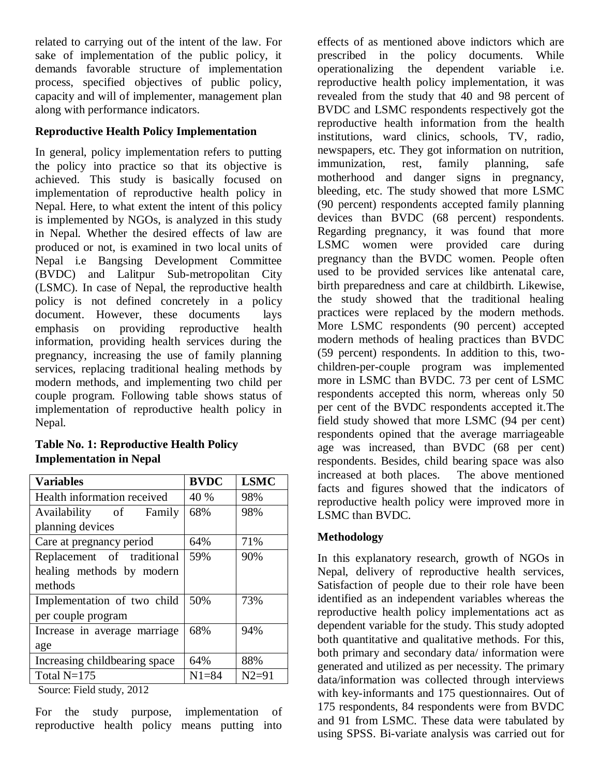related to carrying out of the intent of the law. For sake of implementation of the public policy, it demands favorable structure of implementation process, specified objectives of public policy, capacity and will of implementer, management plan along with performance indicators.

# **Reproductive Health Policy Implementation**

In general, policy implementation refers to putting the policy into practice so that its objective is achieved. This study is basically focused on implementation of reproductive health policy in Nepal. Here, to what extent the intent of this policy is implemented by NGOs, is analyzed in this study in Nepal. Whether the desired effects of law are produced or not, is examined in two local units of Nepal i.e Bangsing Development Committee (BVDC) and Lalitpur Sub-metropolitan City (LSMC). In case of Nepal, the reproductive health policy is not defined concretely in a policy document. However, these documents lays emphasis on providing reproductive health information, providing health services during the pregnancy, increasing the use of family planning services, replacing traditional healing methods by modern methods, and implementing two child per couple program. Following table shows status of implementation of reproductive health policy in Nepal.

### **Table No. 1: Reproductive Health Policy Implementation in Nepal**

| <b>Variables</b>              | <b>BVDC</b> | <b>LSMC</b> |
|-------------------------------|-------------|-------------|
| Health information received   | 40 %        | 98%         |
| Availability of Family        | 68%         | 98%         |
| planning devices              |             |             |
| Care at pregnancy period      | 64%         | 71%         |
| Replacement of traditional    | 59%         | 90%         |
| healing methods by modern     |             |             |
| methods                       |             |             |
| Implementation of two child   | 50%         | 73%         |
| per couple program            |             |             |
| Increase in average marriage  | 68%         | 94%         |
| age                           |             |             |
| Increasing childbearing space | 64%         | 88%         |
| Total $N=175$                 | $N1 = 84$   | $N2 = 91$   |

Source: Field study, 2012

For the study purpose, implementation of reproductive health policy means putting into

effects of as mentioned above indictors which are prescribed in the policy documents. While operationalizing the dependent variable i.e. reproductive health policy implementation, it was revealed from the study that 40 and 98 percent of BVDC and LSMC respondents respectively got the reproductive health information from the health institutions, ward clinics, schools, TV, radio, newspapers, etc. They got information on nutrition, immunization, rest, family planning, safe motherhood and danger signs in pregnancy, bleeding, etc. The study showed that more LSMC (90 percent) respondents accepted family planning devices than BVDC (68 percent) respondents. Regarding pregnancy, it was found that more LSMC women were provided care during pregnancy than the BVDC women. People often used to be provided services like antenatal care, birth preparedness and care at childbirth. Likewise, the study showed that the traditional healing practices were replaced by the modern methods. More LSMC respondents (90 percent) accepted modern methods of healing practices than BVDC (59 percent) respondents. In addition to this, twochildren-per-couple program was implemented more in LSMC than BVDC. 73 per cent of LSMC respondents accepted this norm, whereas only 50 per cent of the BVDC respondents accepted it.The field study showed that more LSMC (94 per cent) respondents opined that the average marriageable age was increased, than BVDC (68 per cent) respondents. Besides, child bearing space was also increased at both places. The above mentioned facts and figures showed that the indicators of reproductive health policy were improved more in LSMC than BVDC.

# **Methodology**

In this explanatory research, growth of NGOs in Nepal, delivery of reproductive health services, Satisfaction of people due to their role have been identified as an independent variables whereas the reproductive health policy implementations act as dependent variable for the study. This study adopted both quantitative and qualitative methods. For this, both primary and secondary data/ information were generated and utilized as per necessity. The primary data/information was collected through interviews with key-informants and 175 questionnaires. Out of 175 respondents, 84 respondents were from BVDC and 91 from LSMC. These data were tabulated by using SPSS. Bi-variate analysis was carried out for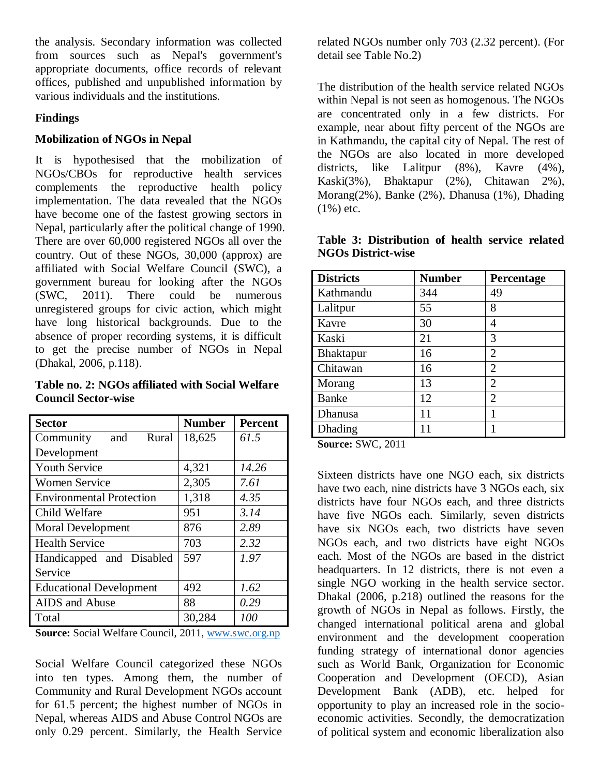the analysis. Secondary information was collected from sources such as Nepal's government's appropriate documents, office records of relevant offices, published and unpublished information by various individuals and the institutions.

#### **Findings**

#### **Mobilization of NGOs in Nepal**

It is hypothesised that the mobilization of NGOs/CBOs for reproductive health services complements the reproductive health policy implementation. The data revealed that the NGOs have become one of the fastest growing sectors in Nepal, particularly after the political change of 1990. There are over 60,000 registered NGOs all over the country. Out of these NGOs, 30,000 (approx) are affiliated with Social Welfare Council (SWC), a government bureau for looking after the NGOs (SWC, 2011). There could be numerous unregistered groups for civic action, which might have long historical backgrounds. Due to the absence of proper recording systems, it is difficult to get the precise number of NGOs in Nepal (Dhakal, 2006, p.118).

**Table no. 2: NGOs affiliated with Social Welfare Council Sector-wise**

| <b>Sector</b>                   | <b>Number</b> | <b>Percent</b> |
|---------------------------------|---------------|----------------|
| Community<br>and<br>Rural       | 18,625        | 61.5           |
| Development                     |               |                |
| <b>Youth Service</b>            | 4,321         | 14.26          |
| <b>Women Service</b>            | 2,305         | 7.61           |
| <b>Environmental Protection</b> | 1,318         | 4.35           |
| Child Welfare                   | 951           | 3.14           |
| <b>Moral Development</b>        | 876           | 2.89           |
| <b>Health Service</b>           | 703           | 2.32           |
| Handicapped and Disabled        | 597           | 1.97           |
| Service                         |               |                |
| <b>Educational Development</b>  | 492           | 1.62           |
| AIDS and Abuse                  | 88            | 0.29           |
| Total                           | 30,284        | 100            |

**Source:** Social Welfare Council, 2011, [www.swc.org.np](http://www.swc.org.np/)

Social Welfare Council categorized these NGOs into ten types. Among them, the number of Community and Rural Development NGOs account for 61.5 percent; the highest number of NGOs in Nepal, whereas AIDS and Abuse Control NGOs are only 0.29 percent. Similarly, the Health Service

related NGOs number only 703 (2.32 percent). (For detail see Table No.2)

The distribution of the health service related NGOs within Nepal is not seen as homogenous. The NGOs are concentrated only in a few districts. For example, near about fifty percent of the NGOs are in Kathmandu, the capital city of Nepal. The rest of the NGOs are also located in more developed districts, like Lalitpur (8%), Kavre (4%), Kaski(3%), Bhaktapur (2%), Chitawan 2%), Morang(2%), Banke (2%), Dhanusa (1%), Dhading  $(1\%)$  etc.

|  | Table 3: Distribution of health service related |  |  |
|--|-------------------------------------------------|--|--|
|  | <b>NGOs District-wise</b>                       |  |  |

| <b>Districts</b>                  | <b>Number</b> | Percentage     |
|-----------------------------------|---------------|----------------|
| Kathmandu                         | 344           | 49             |
| Lalitpur                          | 55            | 8              |
| Kavre                             | 30            | 4              |
| Kaski                             | 21            | 3              |
| Bhaktapur                         | 16            | 2              |
| Chitawan                          | 16            | 2              |
| Morang                            | 13            | 2              |
| Banke                             | 12            | $\overline{2}$ |
| Dhanusa                           | 11            |                |
| Dhading                           | 11            |                |
| $\mathbf{C}$ $\mathbf{C}$<br>0011 |               |                |

**Source:** SWC, 2011

Sixteen districts have one NGO each, six districts have two each, nine districts have 3 NGOs each, six districts have four NGOs each, and three districts have five NGOs each. Similarly, seven districts have six NGOs each, two districts have seven NGOs each, and two districts have eight NGOs each. Most of the NGOs are based in the district headquarters. In 12 districts, there is not even a single NGO working in the health service sector. Dhakal (2006, p.218) outlined the reasons for the growth of NGOs in Nepal as follows. Firstly, the changed international political arena and global environment and the development cooperation funding strategy of international donor agencies such as World Bank, Organization for Economic Cooperation and Development (OECD), Asian Development Bank (ADB), etc. helped for opportunity to play an increased role in the socioeconomic activities. Secondly, the democratization of political system and economic liberalization also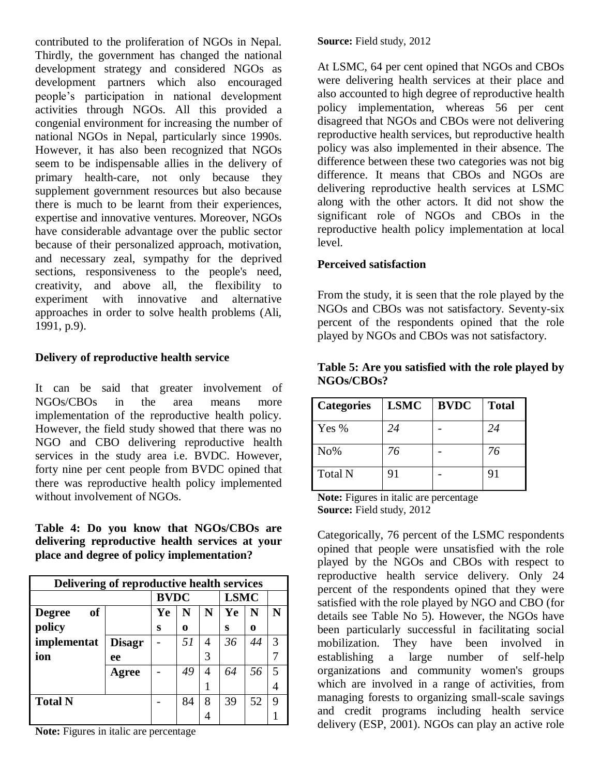contributed to the proliferation of NGOs in Nepal. Thirdly, the government has changed the national development strategy and considered NGOs as development partners which also encouraged people"s participation in national development activities through NGOs. All this provided a congenial environment for increasing the number of national NGOs in Nepal, particularly since 1990s. However, it has also been recognized that NGOs seem to be indispensable allies in the delivery of primary health-care, not only because they supplement government resources but also because there is much to be learnt from their experiences, expertise and innovative ventures. Moreover, NGOs have considerable advantage over the public sector because of their personalized approach, motivation, and necessary zeal, sympathy for the deprived sections, responsiveness to the people's need, creativity, and above all, the flexibility to experiment with innovative and alternative approaches in order to solve health problems (Ali, 1991, p.9).

# **Delivery of reproductive health service**

It can be said that greater involvement of NGOs/CBOs in the area means more implementation of the reproductive health policy. However, the field study showed that there was no NGO and CBO delivering reproductive health services in the study area i.e. BVDC. However, forty nine per cent people from BVDC opined that there was reproductive health policy implemented without involvement of NGOs.

**Table 4: Do you know that NGOs/CBOs are delivering reproductive health services at your place and degree of policy implementation?**

| Delivering of reproductive health services |               |             |    |             |    |    |   |
|--------------------------------------------|---------------|-------------|----|-------------|----|----|---|
|                                            |               | <b>BVDC</b> |    | <b>LSMC</b> |    |    |   |
| <b>of</b><br><b>Degree</b>                 |               | Ye          | N  | N           | Ye | N  | N |
| policy                                     |               | S           | 0  |             | S  | 0  |   |
| implementat                                | <b>Disagr</b> |             | 51 | 4           | 36 | 44 | 3 |
| ion                                        | ee            |             |    | 3           |    |    |   |
|                                            | Agree         |             | 49 | 4           | 64 | 56 |   |
|                                            |               |             |    |             |    |    |   |
| <b>Total N</b>                             |               |             | 84 | 8           | 39 | 52 | g |
|                                            |               |             |    |             |    |    |   |

**Note:** Figures in italic are percentage

**Source:** Field study, 2012

At LSMC, 64 per cent opined that NGOs and CBOs were delivering health services at their place and also accounted to high degree of reproductive health policy implementation, whereas 56 per cent disagreed that NGOs and CBOs were not delivering reproductive health services, but reproductive health policy was also implemented in their absence. The difference between these two categories was not big difference. It means that CBOs and NGOs are delivering reproductive health services at LSMC along with the other actors. It did not show the significant role of NGOs and CBOs in the reproductive health policy implementation at local level.

### **Perceived satisfaction**

From the study, it is seen that the role played by the NGOs and CBOs was not satisfactory. Seventy-six percent of the respondents opined that the role played by NGOs and CBOs was not satisfactory.

| <b>Categories</b> | <b>LSMC</b> | <b>BVDC</b> | <b>Total</b> |
|-------------------|-------------|-------------|--------------|
| Yes %             | 24          |             | 24           |
| No%               | 76          |             | 76           |
| <b>Total N</b>    | 91          |             | 91           |

#### **Table 5: Are you satisfied with the role played by NGOs/CBOs?**

**Note:** Figures in italic are percentage **Source:** Field study, 2012

Categorically, 76 percent of the LSMC respondents opined that people were unsatisfied with the role played by the NGOs and CBOs with respect to reproductive health service delivery. Only 24 percent of the respondents opined that they were satisfied with the role played by NGO and CBO (for details see Table No 5). However, the NGOs have been particularly successful in facilitating social mobilization. They have been involved in establishing a large number of self-help organizations and community women's groups which are involved in a range of activities, from managing forests to organizing small-scale savings and credit programs including health service delivery (ESP, 2001). NGOs can play an active role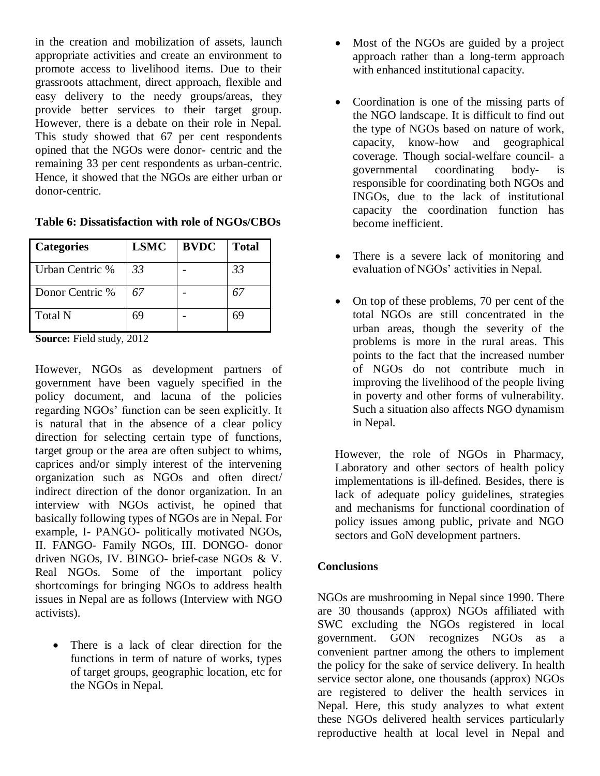in the creation and mobilization of assets, launch appropriate activities and create an environment to promote access to livelihood items. Due to their grassroots attachment, direct approach, flexible and easy delivery to the needy groups/areas, they provide better services to their target group. However, there is a debate on their role in Nepal. This study showed that 67 per cent respondents opined that the NGOs were donor- centric and the remaining 33 per cent respondents as urban-centric. Hence, it showed that the NGOs are either urban or donor-centric.

| Table 6: Dissatisfaction with role of NGOs/CBOs |
|-------------------------------------------------|
|-------------------------------------------------|

| <b>Categories</b>       | <b>LSMC</b>     | <b>BVDC</b> | <b>Total</b> |
|-------------------------|-----------------|-------------|--------------|
| Urban Centric %         | 33              |             | 33           |
| Donor Centric %         | 67              |             |              |
| <b>Total N</b>          | 69              |             | 69           |
| $\sim$<br><b>PU11</b> 1 | $\sim$ 1 $\sim$ |             |              |

**Source:** Field study, 2012

However, NGOs as development partners of government have been vaguely specified in the policy document, and lacuna of the policies regarding NGOs' function can be seen explicitly. It is natural that in the absence of a clear policy direction for selecting certain type of functions, target group or the area are often subject to whims, caprices and/or simply interest of the intervening organization such as NGOs and often direct/ indirect direction of the donor organization. In an interview with NGOs activist, he opined that basically following types of NGOs are in Nepal. For example, I- PANGO- politically motivated NGOs, II. FANGO- Family NGOs, III. DONGO- donor driven NGOs, IV. BINGO- brief-case NGOs & V. Real NGOs. Some of the important policy shortcomings for bringing NGOs to address health issues in Nepal are as follows (Interview with NGO activists).

• There is a lack of clear direction for the functions in term of nature of works, types of target groups, geographic location, etc for the NGOs in Nepal.

- Most of the NGOs are guided by a project approach rather than a long-term approach with enhanced institutional capacity.
- Coordination is one of the missing parts of the NGO landscape. It is difficult to find out the type of NGOs based on nature of work, capacity, know-how and geographical coverage. Though social-welfare council- a governmental coordinating body- is responsible for coordinating both NGOs and INGOs, due to the lack of institutional capacity the coordination function has become inefficient.
- There is a severe lack of monitoring and evaluation of NGOs' activities in Nepal.
- On top of these problems, 70 per cent of the total NGOs are still concentrated in the urban areas, though the severity of the problems is more in the rural areas. This points to the fact that the increased number of NGOs do not contribute much in improving the livelihood of the people living in poverty and other forms of vulnerability. Such a situation also affects NGO dynamism in Nepal.

However, the role of NGOs in Pharmacy, Laboratory and other sectors of health policy implementations is ill-defined. Besides, there is lack of adequate policy guidelines, strategies and mechanisms for functional coordination of policy issues among public, private and NGO sectors and GoN development partners.

### **Conclusions**

NGOs are mushrooming in Nepal since 1990. There are 30 thousands (approx) NGOs affiliated with SWC excluding the NGOs registered in local government. GON recognizes NGOs as a convenient partner among the others to implement the policy for the sake of service delivery. In health service sector alone, one thousands (approx) NGOs are registered to deliver the health services in Nepal. Here, this study analyzes to what extent these NGOs delivered health services particularly reproductive health at local level in Nepal and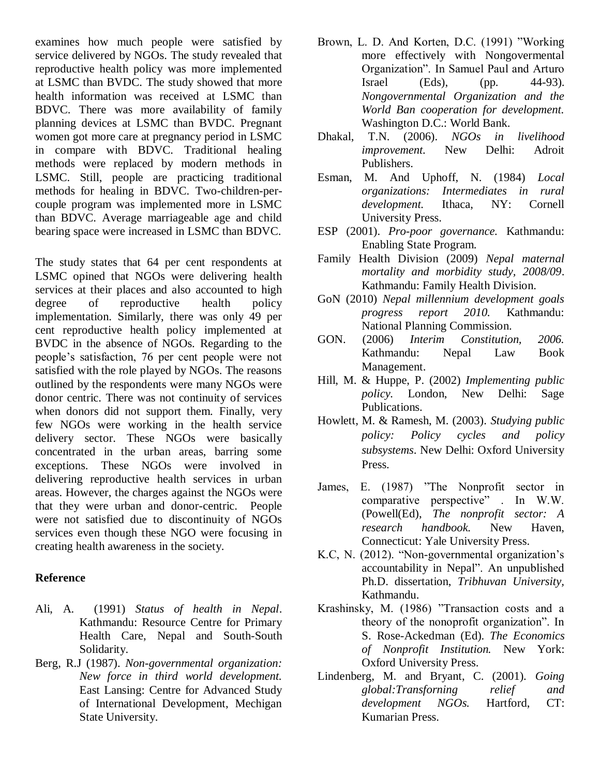examines how much people were satisfied by service delivered by NGOs. The study revealed that reproductive health policy was more implemented at LSMC than BVDC. The study showed that more health information was received at LSMC than BDVC. There was more availability of family planning devices at LSMC than BVDC. Pregnant women got more care at pregnancy period in LSMC in compare with BDVC. Traditional healing methods were replaced by modern methods in LSMC. Still, people are practicing traditional methods for healing in BDVC. Two-children-percouple program was implemented more in LSMC than BDVC. Average marriageable age and child bearing space were increased in LSMC than BDVC.

The study states that 64 per cent respondents at LSMC opined that NGOs were delivering health services at their places and also accounted to high degree of reproductive health policy implementation. Similarly, there was only 49 per cent reproductive health policy implemented at BVDC in the absence of NGOs. Regarding to the people"s satisfaction, 76 per cent people were not satisfied with the role played by NGOs. The reasons outlined by the respondents were many NGOs were donor centric. There was not continuity of services when donors did not support them. Finally, very few NGOs were working in the health service delivery sector. These NGOs were basically concentrated in the urban areas, barring some exceptions. These NGOs were involved in delivering reproductive health services in urban areas. However, the charges against the NGOs were that they were urban and donor-centric. People were not satisfied due to discontinuity of NGOs services even though these NGO were focusing in creating health awareness in the society.

#### **Reference**

- Ali, A. (1991) *Status of health in Nepal*. Kathmandu: Resource Centre for Primary Health Care, Nepal and South-South Solidarity.
- Berg, R.J (1987). *Non-governmental organization: New force in third world development.* East Lansing: Centre for Advanced Study of International Development, Mechigan State University.
- Brown, L. D. And Korten, D.C. (1991) "Working more effectively with Nongovermental Organization". In Samuel Paul and Arturo Israel (Eds), (pp. 44-93). *Nongovernmental Organization and the World Ban cooperation for development.* Washington D.C.: World Bank.
- Dhakal, T.N. (2006). *NGOs in livelihood improvement.* New Delhi: Adroit Publishers.
- Esman, M. And Uphoff, N. (1984) *Local organizations: Intermediates in rural development.* Ithaca, NY: Cornell University Press.
- ESP (2001). *Pro-poor governance.* Kathmandu: Enabling State Program.
- Family Health Division (2009) *Nepal maternal mortality and morbidity study, 2008/09*. Kathmandu: Family Health Division.
- GoN (2010) *Nepal millennium development goals progress report 2010.* Kathmandu: National Planning Commission.
- GON. (2006) *Interim Constitution, 2006.*  Kathmandu: Nepal Law Book Management.
- Hill, M. & Huppe, P. (2002) *Implementing public policy.* London, New Delhi: Sage Publications.
- Howlett, M. & Ramesh, M. (2003). *Studying public policy: Policy cycles and policy subsystems*. New Delhi: Oxford University Press.
- James, E. (1987) "The Nonprofit sector in comparative perspective" . In W.W. (Powell(Ed), *The nonprofit sector: A research handbook.* New Haven, Connecticut: Yale University Press.
- K.C, N. (2012). "Non-governmental organization's accountability in Nepal". An unpublished Ph.D. dissertation, *Tribhuvan University,* Kathmandu.
- Krashinsky, M. (1986) "Transaction costs and a theory of the nonoprofit organization". In S. Rose-Ackedman (Ed). *The Economics of Nonprofit Institution.* New York: Oxford University Press.
- Lindenberg, M. and Bryant, C. (2001). *Going global:Transforning relief and development NGOs.* Hartford, CT: Kumarian Press.